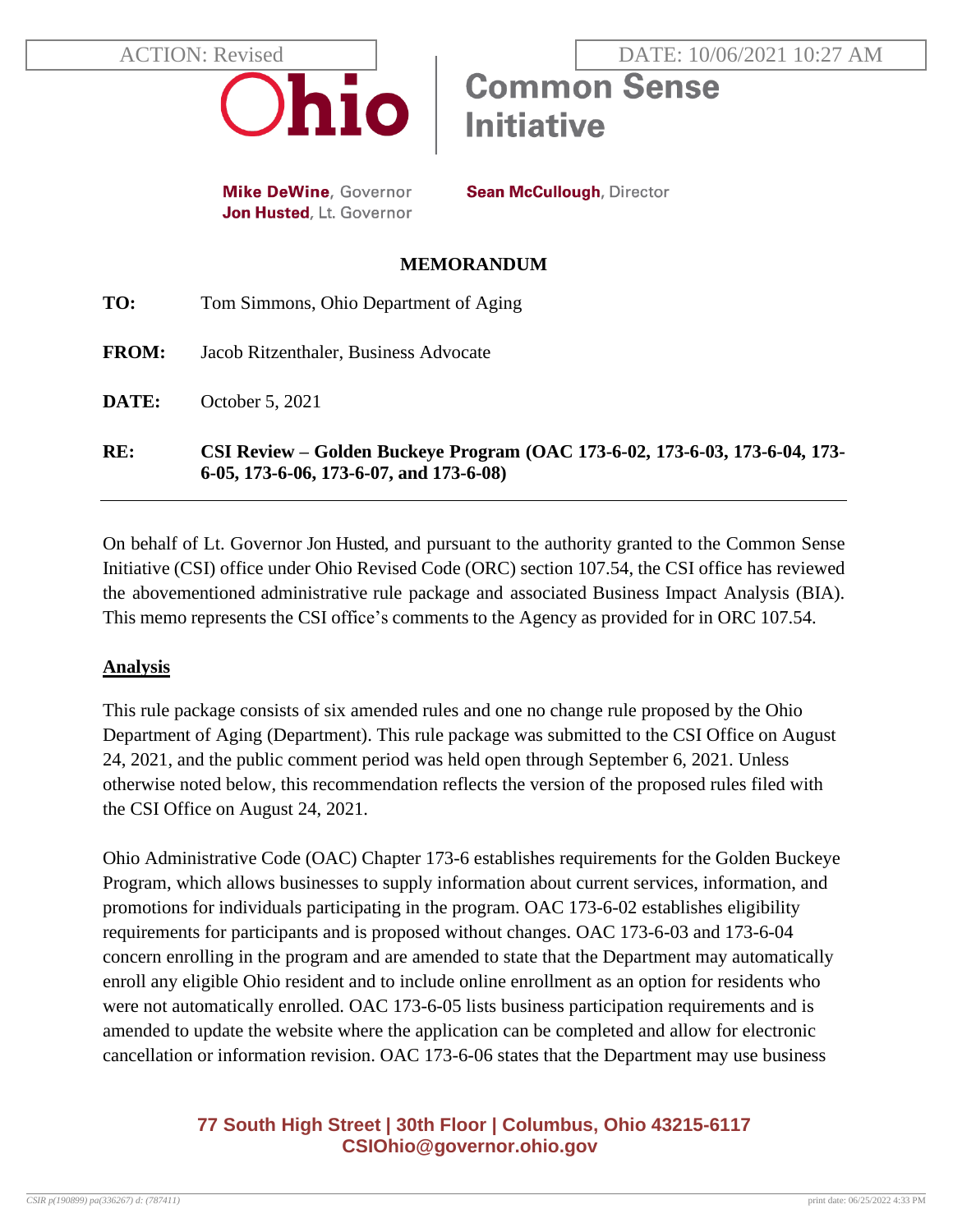

**Mike DeWine, Governor** Jon Husted, Lt. Governor **Sean McCullough, Director** 

**Initiative** 

**Common Sense** 

#### **MEMORANDUM**

| RE:          | CSI Review – Golden Buckeye Program (OAC 173-6-02, 173-6-03, 173-6-04, 173-<br>6-05, 173-6-06, 173-6-07, and 173-6-08) |
|--------------|------------------------------------------------------------------------------------------------------------------------|
| DATE:        | October 5, 2021                                                                                                        |
| <b>FROM:</b> | Jacob Ritzenthaler, Business Advocate                                                                                  |
| TO:          | Tom Simmons, Ohio Department of Aging                                                                                  |

On behalf of Lt. Governor Jon Husted, and pursuant to the authority granted to the Common Sense Initiative (CSI) office under Ohio Revised Code (ORC) section 107.54, the CSI office has reviewed the abovementioned administrative rule package and associated Business Impact Analysis (BIA). This memo represents the CSI office's comments to the Agency as provided for in ORC 107.54.

### **Analysis**

This rule package consists of six amended rules and one no change rule proposed by the Ohio Department of Aging (Department). This rule package was submitted to the CSI Office on August 24, 2021, and the public comment period was held open through September 6, 2021. Unless otherwise noted below, this recommendation reflects the version of the proposed rules filed with the CSI Office on August 24, 2021.

Ohio Administrative Code (OAC) Chapter 173-6 establishes requirements for the Golden Buckeye Program, which allows businesses to supply information about current services, information, and promotions for individuals participating in the program. OAC 173-6-02 establishes eligibility requirements for participants and is proposed without changes. OAC 173-6-03 and 173-6-04 concern enrolling in the program and are amended to state that the Department may automatically enroll any eligible Ohio resident and to include online enrollment as an option for residents who were not automatically enrolled. OAC 173-6-05 lists business participation requirements and is amended to update the website where the application can be completed and allow for electronic cancellation or information revision. OAC 173-6-06 states that the Department may use business

# **77 South High Street | 30th Floor | Columbus, Ohio 43215-6117 [CSIOhio@governor.ohio.gov](mailto:CSIOhio@governor.ohio.gov)**